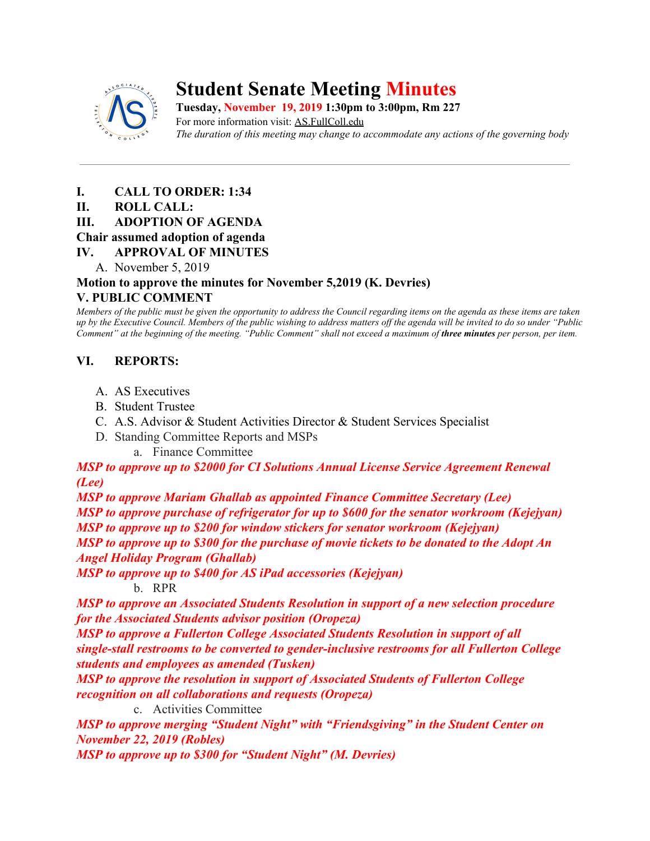

# **Student Senate Meeting Minutes**

**Tuesday, November 19, 2019 1:30pm to 3:00pm, Rm 227** For more information visit: AS.FullColl.edu *The duration of this meeting may change to accommodate any actions of the governing body*

- **I. CALL TO ORDER: 1:34**
- **II. ROLL CALL:**
- **III. ADOPTION OF AGENDA**

## **Chair assumed adoption of agenda**

- **IV. APPROVAL OF MINUTES**
	- A. November 5, 2019

## **Motion to approve the minutes for November 5,2019 (K. Devries) V. PUBLIC COMMENT**

*Members of the public must be given the opportunity to address the Council regarding items on the agenda as these items are taken up by the Executive Council. Members of the public wishing to address matters off the agenda will be invited to do so under "Public Comment" at the beginning of the meeting. "Public Comment" shall not exceed a maximum of three minutes per person, per item.*

# **VI. REPORTS:**

- A. AS Executives
- B. Student Trustee
- C. A.S. Advisor & Student Activities Director & Student Services Specialist
- D. Standing Committee Reports and MSPs
	- a. Finance Committee

*MSP to approve up to \$2000 for CI Solutions Annual License Service Agreement Renewal (Lee)*

*MSP to approve Mariam Ghallab as appointed Finance Committee Secretary (Lee) MSP to approve purchase of refrigerator for up to \$600 for the senator workroom (Kejejyan) MSP to approve up to \$200 for window stickers for senator workroom (Kejejyan) MSP to approve up to \$300 for the purchase of movie tickets to be donated to the Adopt An*

*Angel Holiday Program (Ghallab)*

*MSP to approve up to \$400 for AS iPad accessories (Kejejyan)*

b. RPR

*MSP to approve an Associated Students Resolution in support of a new selection procedure for the Associated Students advisor position (Oropeza)*

*MSP to approve a Fullerton College Associated Students Resolution in support of all single-stall restrooms to be converted to gender-inclusive restrooms for all Fullerton College students and employees as amended (Tusken)*

*MSP to approve the resolution in support of Associated Students of Fullerton College recognition on all collaborations and requests (Oropeza)*

c. Activities Committee

*MSP to approve merging "Student Night" with "Friendsgiving" in the Student Center on November 22, 2019 (Robles)*

*MSP to approve up to \$300 for "Student Night" (M. Devries)*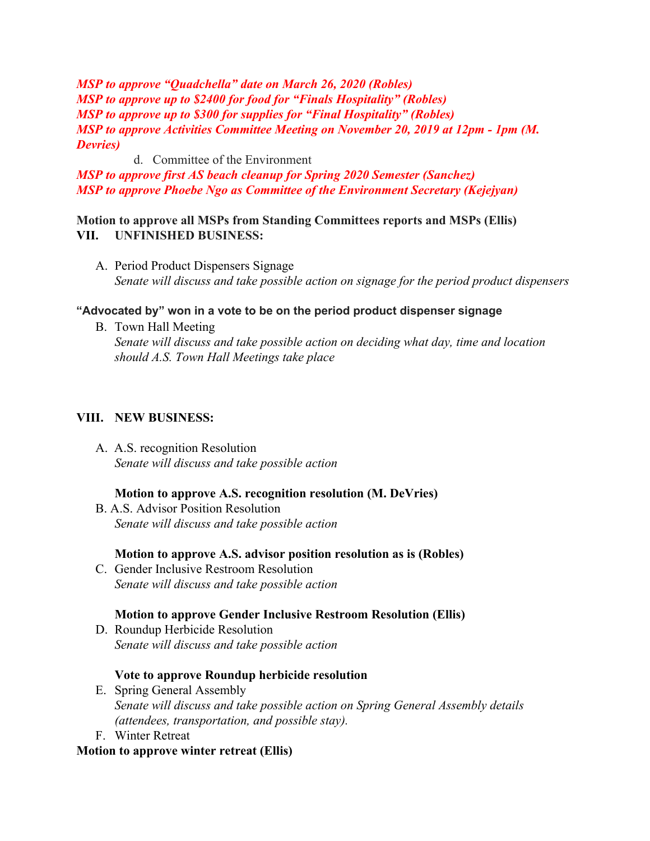*MSP to approve "Quadchella" date on March 26, 2020 (Robles) MSP to approve up to \$2400 for food for "Finals Hospitality" (Robles) MSP to approve up to \$300 for supplies for "Final Hospitality" (Robles) MSP to approve Activities Committee Meeting on November 20, 2019 at 12pm - 1pm (M. Devries)*

d. Committee of the Environment

*MSP to approve first AS beach cleanup for Spring 2020 Semester (Sanchez) MSP to approve Phoebe Ngo as Committee of the Environment Secretary (Kejejyan)*

**Motion to approve all MSPs from Standing Committees reports and MSPs (Ellis) VII. UNFINISHED BUSINESS:**

A. Period Product Dispensers Signage *Senate will discuss and take possible action on signage for the period product dispensers*

## **"Advocated by" won in a vote to be on the period product dispenser signage**

B. Town Hall Meeting *Senate will discuss and take possible action on deciding what day, time and location should A.S. Town Hall Meetings take place*

## **VIII. NEW BUSINESS:**

 A. A.S. recognition Resolution *Senate will discuss and take possible action*

## **Motion to approve A.S. recognition resolution (M. DeVries)**

 B. A.S. Advisor Position Resolution *Senate will discuss and take possible action*

**Motion to approve A.S. advisor position resolution as is (Robles)**

C. Gender Inclusive Restroom Resolution *Senate will discuss and take possible action*

## **Motion to approve Gender Inclusive Restroom Resolution (Ellis)**

D. Roundup Herbicide Resolution *Senate will discuss and take possible action*

## **Vote to approve Roundup herbicide resolution**

- E. Spring General Assembly *Senate will discuss and take possible action on Spring General Assembly details (attendees, transportation, and possible stay).*
- F. Winter Retreat

## **Motion to approve winter retreat (Ellis)**